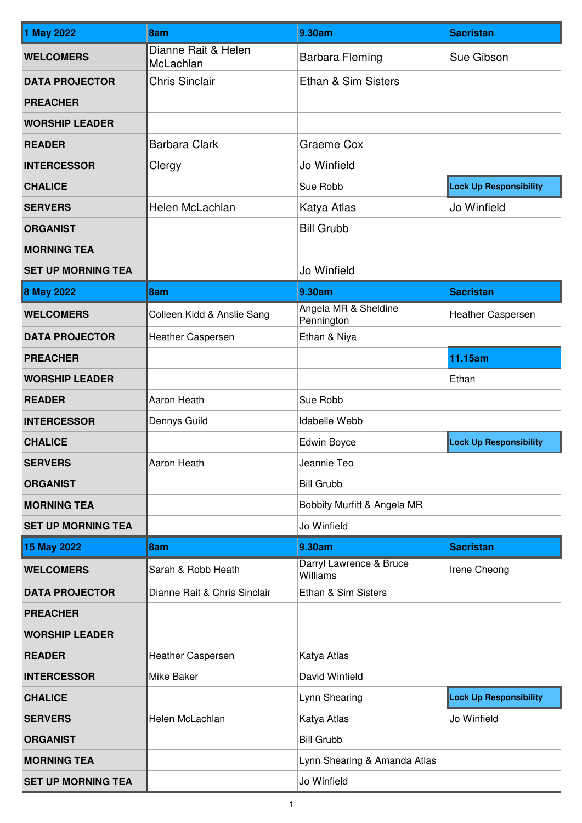| 1 May 2022                | 8am                              | 9.30am                              | <b>Sacristan</b>              |
|---------------------------|----------------------------------|-------------------------------------|-------------------------------|
| <b>WELCOMERS</b>          | Dianne Rait & Helen<br>McLachlan | <b>Barbara Fleming</b>              | Sue Gibson                    |
| <b>DATA PROJECTOR</b>     | <b>Chris Sinclair</b>            | Ethan & Sim Sisters                 |                               |
| <b>PREACHER</b>           |                                  |                                     |                               |
| <b>WORSHIP LEADER</b>     |                                  |                                     |                               |
| <b>READER</b>             | <b>Barbara Clark</b>             | Graeme Cox                          |                               |
| <b>INTERCESSOR</b>        | Clergy                           | Jo Winfield                         |                               |
| <b>CHALICE</b>            |                                  | Sue Robb                            | <b>Lock Up Responsibility</b> |
| <b>SERVERS</b>            | Helen McLachlan                  | Katya Atlas                         | Jo Winfield                   |
| <b>ORGANIST</b>           |                                  | <b>Bill Grubb</b>                   |                               |
| <b>MORNING TEA</b>        |                                  |                                     |                               |
| <b>SET UP MORNING TEA</b> |                                  | Jo Winfield                         |                               |
| <b>8 May 2022</b>         | 8am                              | 9.30am                              | <b>Sacristan</b>              |
| <b>WELCOMERS</b>          | Colleen Kidd & Anslie Sang       | Angela MR & Sheldine<br>Pennington  | Heather Caspersen             |
| <b>DATA PROJECTOR</b>     | Heather Caspersen                | Ethan & Niya                        |                               |
| <b>PREACHER</b>           |                                  |                                     | 11.15am                       |
| <b>WORSHIP LEADER</b>     |                                  |                                     | Ethan                         |
| <b>READER</b>             | Aaron Heath                      | Sue Robb                            |                               |
| <b>INTERCESSOR</b>        | Dennys Guild                     | Idabelle Webb                       |                               |
| <b>CHALICE</b>            |                                  | Edwin Boyce                         | <b>Lock Up Responsibility</b> |
| <b>SERVERS</b>            | Aaron Heath                      | Jeannie Teo                         |                               |
| <b>ORGANIST</b>           |                                  | <b>Bill Grubb</b>                   |                               |
| <b>MORNING TEA</b>        |                                  | Bobbity Murfitt & Angela MR         |                               |
| <b>SET UP MORNING TEA</b> |                                  | Jo Winfield                         |                               |
| 15 May 2022               | 8am                              | 9.30am                              | <b>Sacristan</b>              |
| <b>WELCOMERS</b>          | Sarah & Robb Heath               | Darryl Lawrence & Bruce<br>Williams | Irene Cheong                  |
| <b>DATA PROJECTOR</b>     | Dianne Rait & Chris Sinclair     | Ethan & Sim Sisters                 |                               |
| <b>PREACHER</b>           |                                  |                                     |                               |
| <b>WORSHIP LEADER</b>     |                                  |                                     |                               |
| <b>READER</b>             | <b>Heather Caspersen</b>         | Katya Atlas                         |                               |
| <b>INTERCESSOR</b>        | Mike Baker                       | David Winfield                      |                               |
| <b>CHALICE</b>            |                                  | Lynn Shearing                       | <b>Lock Up Responsibility</b> |
| <b>SERVERS</b>            | Helen McLachlan                  | Katya Atlas                         | Jo Winfield                   |
| <b>ORGANIST</b>           |                                  | <b>Bill Grubb</b>                   |                               |
| <b>MORNING TEA</b>        |                                  | Lynn Shearing & Amanda Atlas        |                               |
| <b>SET UP MORNING TEA</b> |                                  | Jo Winfield                         |                               |